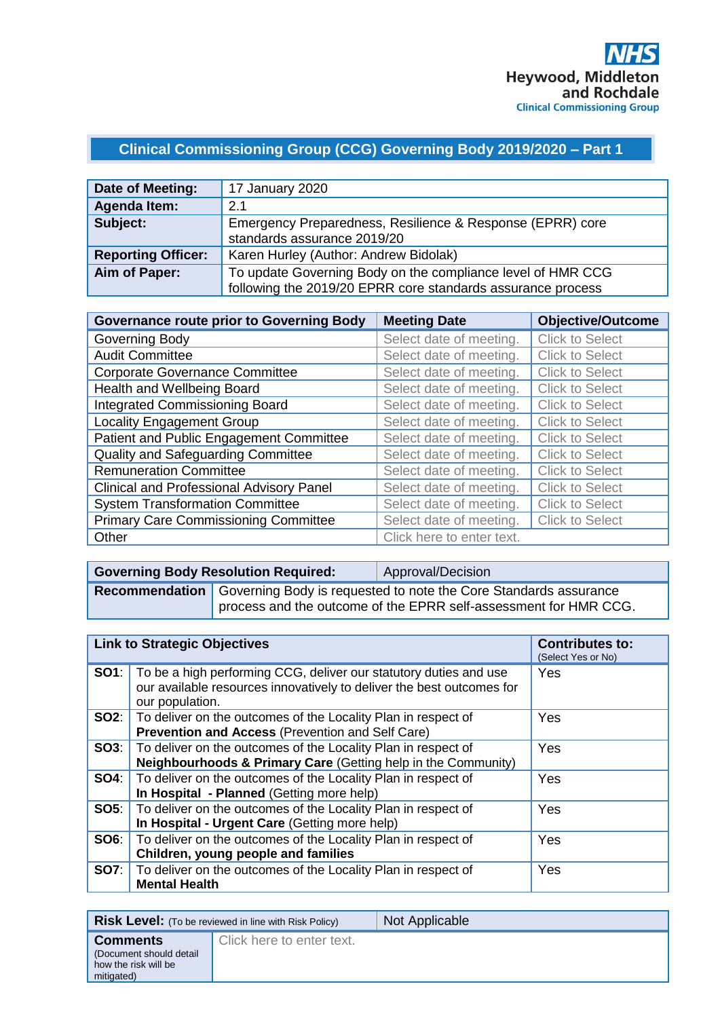# **Clinical Commissioning Group (CCG) Governing Body 2019/2020 – Part 1**

| Date of Meeting:          | 17 January 2020                                                                                                            |
|---------------------------|----------------------------------------------------------------------------------------------------------------------------|
| <b>Agenda Item:</b>       | 2.1                                                                                                                        |
| Subject:                  | Emergency Preparedness, Resilience & Response (EPRR) core<br>standards assurance 2019/20                                   |
| <b>Reporting Officer:</b> | Karen Hurley (Author: Andrew Bidolak)                                                                                      |
| Aim of Paper:             | To update Governing Body on the compliance level of HMR CCG<br>following the 2019/20 EPRR core standards assurance process |

| <b>Governance route prior to Governing Body</b> | <b>Meeting Date</b>       | <b>Objective/Outcome</b> |
|-------------------------------------------------|---------------------------|--------------------------|
| Governing Body                                  | Select date of meeting.   | <b>Click to Select</b>   |
| <b>Audit Committee</b>                          | Select date of meeting.   | <b>Click to Select</b>   |
| <b>Corporate Governance Committee</b>           | Select date of meeting.   | <b>Click to Select</b>   |
| Health and Wellbeing Board                      | Select date of meeting.   | <b>Click to Select</b>   |
| <b>Integrated Commissioning Board</b>           | Select date of meeting.   | <b>Click to Select</b>   |
| <b>Locality Engagement Group</b>                | Select date of meeting.   | <b>Click to Select</b>   |
| Patient and Public Engagement Committee         | Select date of meeting.   | <b>Click to Select</b>   |
| Quality and Safeguarding Committee              | Select date of meeting.   | <b>Click to Select</b>   |
| <b>Remuneration Committee</b>                   | Select date of meeting.   | <b>Click to Select</b>   |
| <b>Clinical and Professional Advisory Panel</b> | Select date of meeting.   | <b>Click to Select</b>   |
| <b>System Transformation Committee</b>          | Select date of meeting.   | <b>Click to Select</b>   |
| <b>Primary Care Commissioning Committee</b>     | Select date of meeting.   | <b>Click to Select</b>   |
| Other                                           | Click here to enter text. |                          |

| <b>Governing Body Resolution Required:</b>                                                                                                                 | Approval/Decision |
|------------------------------------------------------------------------------------------------------------------------------------------------------------|-------------------|
| <b>Recommendation</b> Governing Body is requested to note the Core Standards assurance<br>process and the outcome of the EPRR self-assessment for HMR CCG. |                   |

|             | <b>Link to Strategic Objectives</b>                                                                                                                           | <b>Contributes to:</b><br>(Select Yes or No) |
|-------------|---------------------------------------------------------------------------------------------------------------------------------------------------------------|----------------------------------------------|
| SO1:        | To be a high performing CCG, deliver our statutory duties and use<br>our available resources innovatively to deliver the best outcomes for<br>our population. | Yes                                          |
|             | <b>SO2</b> : To deliver on the outcomes of the Locality Plan in respect of<br><b>Prevention and Access (Prevention and Self Care)</b>                         | Yes                                          |
| SOS:        | To deliver on the outcomes of the Locality Plan in respect of<br>Neighbourhoods & Primary Care (Getting help in the Community)                                | <b>Yes</b>                                   |
| SO4:        | To deliver on the outcomes of the Locality Plan in respect of<br>In Hospital - Planned (Getting more help)                                                    | <b>Yes</b>                                   |
| SOS:        | To deliver on the outcomes of the Locality Plan in respect of<br>In Hospital - Urgent Care (Getting more help)                                                | Yes                                          |
| SO6:        | To deliver on the outcomes of the Locality Plan in respect of<br>Children, young people and families                                                          | <b>Yes</b>                                   |
| <b>SO7:</b> | To deliver on the outcomes of the Locality Plan in respect of<br><b>Mental Health</b>                                                                         | Yes                                          |

|                                                                                  | <b>Risk Level:</b> (To be reviewed in line with Risk Policy) | Not Applicable |
|----------------------------------------------------------------------------------|--------------------------------------------------------------|----------------|
| <b>Comments</b><br>(Document should detail<br>how the risk will be<br>mitigated) | Click here to enter text.                                    |                |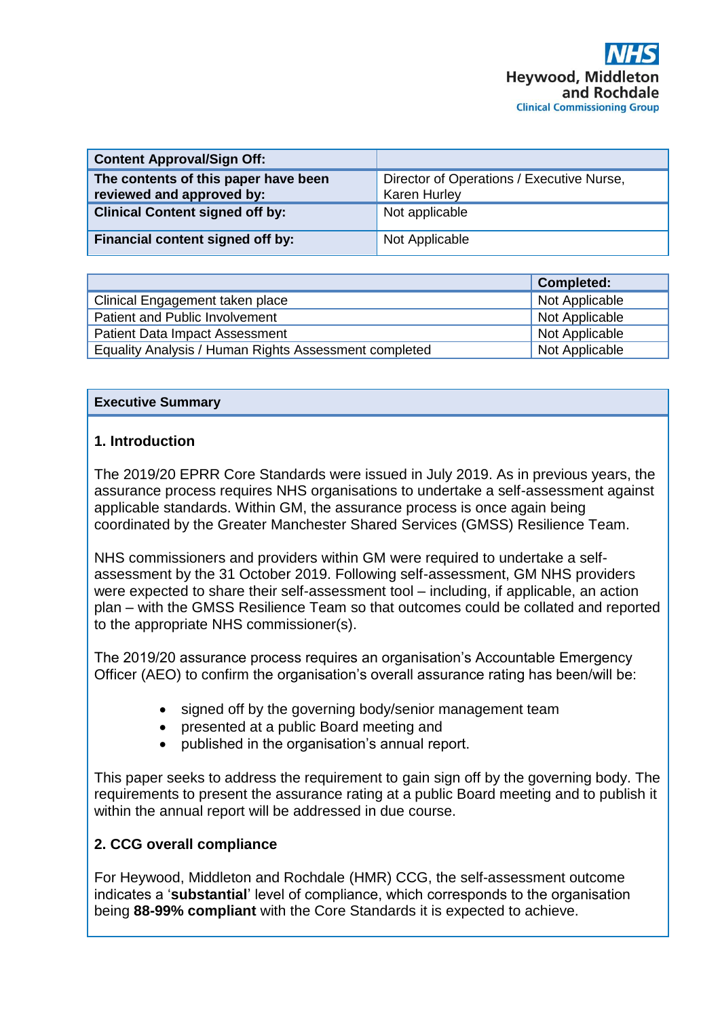| <b>Content Approval/Sign Off:</b>                                 |                                                                  |
|-------------------------------------------------------------------|------------------------------------------------------------------|
| The contents of this paper have been<br>reviewed and approved by: | Director of Operations / Executive Nurse,<br><b>Karen Hurley</b> |
| <b>Clinical Content signed off by:</b>                            | Not applicable                                                   |
| Financial content signed off by:                                  | Not Applicable                                                   |

|                                                       | <b>Completed:</b> |
|-------------------------------------------------------|-------------------|
| Clinical Engagement taken place                       | Not Applicable    |
| Patient and Public Involvement                        | Not Applicable    |
| <b>Patient Data Impact Assessment</b>                 | Not Applicable    |
| Equality Analysis / Human Rights Assessment completed | Not Applicable    |

#### **Executive Summary**

## **1. Introduction**

The 2019/20 EPRR Core Standards were issued in July 2019. As in previous years, the assurance process requires NHS organisations to undertake a self-assessment against applicable standards. Within GM, the assurance process is once again being coordinated by the Greater Manchester Shared Services (GMSS) Resilience Team.

NHS commissioners and providers within GM were required to undertake a selfassessment by the 31 October 2019. Following self-assessment, GM NHS providers were expected to share their self-assessment tool – including, if applicable, an action plan – with the GMSS Resilience Team so that outcomes could be collated and reported to the appropriate NHS commissioner(s).

The 2019/20 assurance process requires an organisation's Accountable Emergency Officer (AEO) to confirm the organisation's overall assurance rating has been/will be:

- signed off by the governing body/senior management team
- presented at a public Board meeting and
- published in the organisation's annual report.

This paper seeks to address the requirement to gain sign off by the governing body. The requirements to present the assurance rating at a public Board meeting and to publish it within the annual report will be addressed in due course.

## **2. CCG overall compliance**

For Heywood, Middleton and Rochdale (HMR) CCG, the self-assessment outcome indicates a '**substantial**' level of compliance, which corresponds to the organisation being **88-99% compliant** with the Core Standards it is expected to achieve.